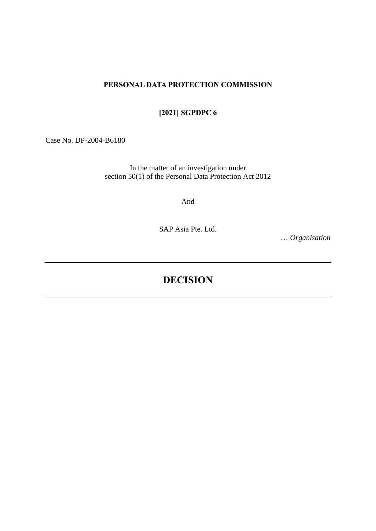### **PERSONAL DATA PROTECTION COMMISSION**

## **[2021] SGPDPC 6**

Case No. DP-2004-B6180

In the matter of an investigation under section 50(1) of the Personal Data Protection Act 2012

And

SAP Asia Pte. Ltd.

… *Organisation*

# **DECISION**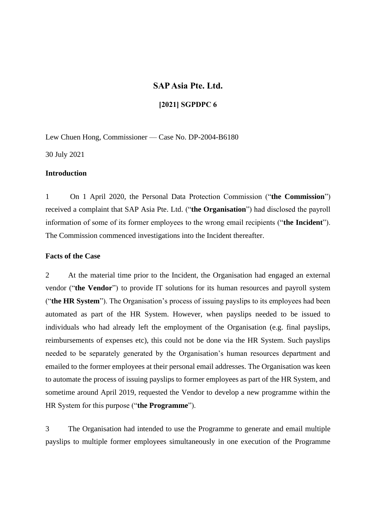### **SAP Asia Pte. Ltd.**

#### **[2021] SGPDPC 6**

Lew Chuen Hong, Commissioner — Case No. DP-2004-B6180

30 July 2021

#### **Introduction**

1 On 1 April 2020, the Personal Data Protection Commission ("**the Commission**") received a complaint that SAP Asia Pte. Ltd. ("**the Organisation**") had disclosed the payroll information of some of its former employees to the wrong email recipients ("**the Incident**"). The Commission commenced investigations into the Incident thereafter.

#### **Facts of the Case**

2 At the material time prior to the Incident, the Organisation had engaged an external vendor ("**the Vendor**") to provide IT solutions for its human resources and payroll system ("**the HR System**"). The Organisation's process of issuing payslips to its employees had been automated as part of the HR System. However, when payslips needed to be issued to individuals who had already left the employment of the Organisation (e.g. final payslips, reimbursements of expenses etc), this could not be done via the HR System. Such payslips needed to be separately generated by the Organisation's human resources department and emailed to the former employees at their personal email addresses. The Organisation was keen to automate the process of issuing payslips to former employees as part of the HR System, and sometime around April 2019, requested the Vendor to develop a new programme within the HR System for this purpose ("**the Programme**").

3 The Organisation had intended to use the Programme to generate and email multiple payslips to multiple former employees simultaneously in one execution of the Programme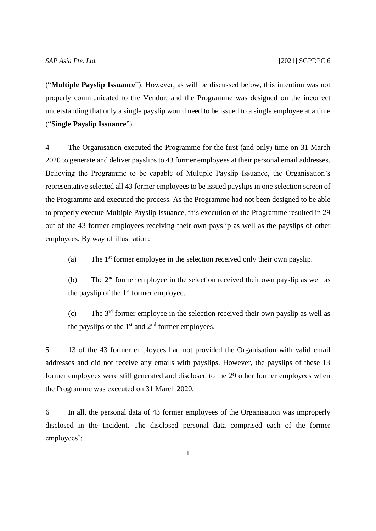("**Multiple Payslip Issuance**"). However, as will be discussed below, this intention was not properly communicated to the Vendor, and the Programme was designed on the incorrect understanding that only a single payslip would need to be issued to a single employee at a time ("**Single Payslip Issuance**").

4 The Organisation executed the Programme for the first (and only) time on 31 March 2020 to generate and deliver payslips to 43 former employees at their personal email addresses. Believing the Programme to be capable of Multiple Payslip Issuance, the Organisation's representative selected all 43 former employees to be issued payslips in one selection screen of the Programme and executed the process. As the Programme had not been designed to be able to properly execute Multiple Payslip Issuance, this execution of the Programme resulted in 29 out of the 43 former employees receiving their own payslip as well as the payslips of other employees. By way of illustration:

(a) The 1 st former employee in the selection received only their own payslip.

(b) The  $2<sup>nd</sup>$  former employee in the selection received their own payslip as well as the payslip of the  $1<sup>st</sup>$  former employee.

(c) The 3rd former employee in the selection received their own payslip as well as the payslips of the 1<sup>st</sup> and 2<sup>nd</sup> former employees.

5 13 of the 43 former employees had not provided the Organisation with valid email addresses and did not receive any emails with payslips. However, the payslips of these 13 former employees were still generated and disclosed to the 29 other former employees when the Programme was executed on 31 March 2020.

6 In all, the personal data of 43 former employees of the Organisation was improperly disclosed in the Incident. The disclosed personal data comprised each of the former employees':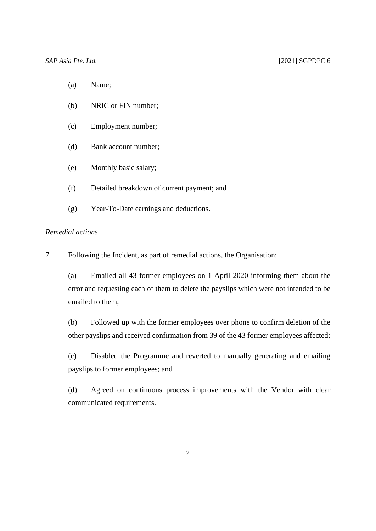- (a) Name;
- (b) NRIC or FIN number;
- (c) Employment number;
- (d) Bank account number;
- (e) Monthly basic salary;
- (f) Detailed breakdown of current payment; and
- (g) Year-To-Date earnings and deductions.

#### *Remedial actions*

7 Following the Incident, as part of remedial actions, the Organisation:

(a) Emailed all 43 former employees on 1 April 2020 informing them about the error and requesting each of them to delete the payslips which were not intended to be emailed to them;

(b) Followed up with the former employees over phone to confirm deletion of the other payslips and received confirmation from 39 of the 43 former employees affected;

(c) Disabled the Programme and reverted to manually generating and emailing payslips to former employees; and

(d) Agreed on continuous process improvements with the Vendor with clear communicated requirements.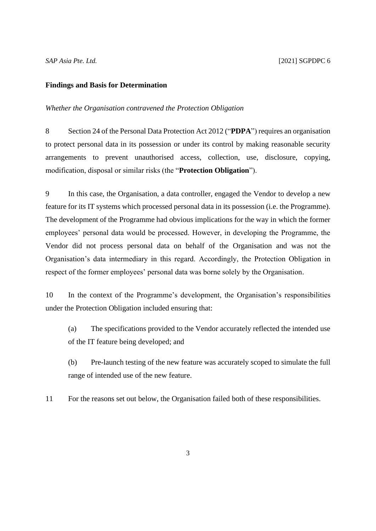#### **Findings and Basis for Determination**

#### *Whether the Organisation contravened the Protection Obligation*

8 Section 24 of the Personal Data Protection Act 2012 ("**PDPA**") requires an organisation to protect personal data in its possession or under its control by making reasonable security arrangements to prevent unauthorised access, collection, use, disclosure, copying, modification, disposal or similar risks (the "**Protection Obligation**").

9 In this case, the Organisation, a data controller, engaged the Vendor to develop a new feature for its IT systems which processed personal data in its possession (i.e. the Programme). The development of the Programme had obvious implications for the way in which the former employees' personal data would be processed. However, in developing the Programme, the Vendor did not process personal data on behalf of the Organisation and was not the Organisation's data intermediary in this regard. Accordingly, the Protection Obligation in respect of the former employees' personal data was borne solely by the Organisation.

10 In the context of the Programme's development, the Organisation's responsibilities under the Protection Obligation included ensuring that:

(a) The specifications provided to the Vendor accurately reflected the intended use of the IT feature being developed; and

(b) Pre-launch testing of the new feature was accurately scoped to simulate the full range of intended use of the new feature.

11 For the reasons set out below, the Organisation failed both of these responsibilities.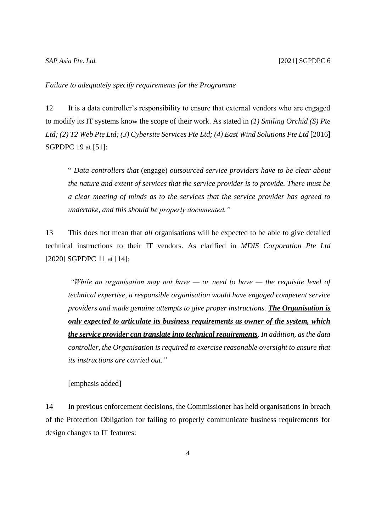#### *SAP Asia Pte. Ltd.* [2021] SGPDPC 6

#### *Failure to adequately specify requirements for the Programme*

12 It is a data controller's responsibility to ensure that external vendors who are engaged to modify its IT systems know the scope of their work. As stated in *(1) Smiling Orchid (S) Pte Ltd; (2) T2 Web Pte Ltd; (3) Cybersite Services Pte Ltd; (4) East Wind Solutions Pte Ltd* [2016] SGPDPC 19 at [51]:

" *Data controllers that* (engage) *outsourced service providers have to be clear about the nature and extent of services that the service provider is to provide. There must be a clear meeting of minds as to the services that the service provider has agreed to undertake, and this should be properly documented."*

13 This does not mean that *all* organisations will be expected to be able to give detailed technical instructions to their IT vendors. As clarified in *MDIS Corporation Pte Ltd* [2020] SGPDPC 11 at [14]:

*"While an organisation may not have — or need to have — the requisite level of technical expertise, a responsible organisation would have engaged competent service providers and made genuine attempts to give proper instructions. The Organisation is only expected to articulate its business requirements as owner of the system, which the service provider can translate into technical requirements. In addition, as the data controller, the Organisation is required to exercise reasonable oversight to ensure that its instructions are carried out."*

[emphasis added]

14 In previous enforcement decisions, the Commissioner has held organisations in breach of the Protection Obligation for failing to properly communicate business requirements for design changes to IT features: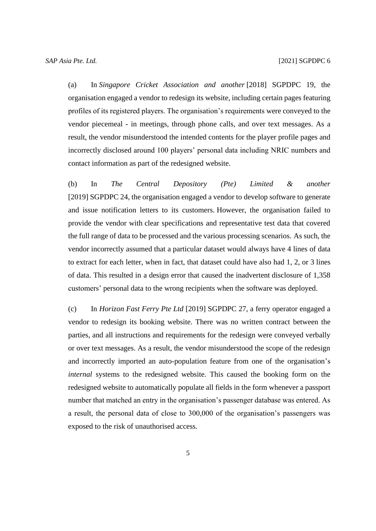(a) In *Singapore Cricket Association and another* [2018] SGPDPC 19, the organisation engaged a vendor to redesign its website, including certain pages featuring profiles of its registered players. The organisation's requirements were conveyed to the vendor piecemeal - in meetings, through phone calls, and over text messages. As a result, the vendor misunderstood the intended contents for the player profile pages and incorrectly disclosed around 100 players' personal data including NRIC numbers and contact information as part of the redesigned website.

(b) In *The Central Depository (Pte) Limited & another* [2019] SGPDPC 24, the organisation engaged a vendor to develop software to generate and issue notification letters to its customers. However, the organisation failed to provide the vendor with clear specifications and representative test data that covered the full range of data to be processed and the various processing scenarios. As such, the vendor incorrectly assumed that a particular dataset would always have 4 lines of data to extract for each letter, when in fact, that dataset could have also had 1, 2, or 3 lines of data. This resulted in a design error that caused the inadvertent disclosure of 1,358 customers' personal data to the wrong recipients when the software was deployed.

(c) In *Horizon Fast Ferry Pte Ltd* [2019] SGPDPC 27, a ferry operator engaged a vendor to redesign its booking website. There was no written contract between the parties, and all instructions and requirements for the redesign were conveyed verbally or over text messages. As a result, the vendor misunderstood the scope of the redesign and incorrectly imported an auto-population feature from one of the organisation's *internal* systems to the redesigned website. This caused the booking form on the redesigned website to automatically populate all fields in the form whenever a passport number that matched an entry in the organisation's passenger database was entered. As a result, the personal data of close to 300,000 of the organisation's passengers was exposed to the risk of unauthorised access.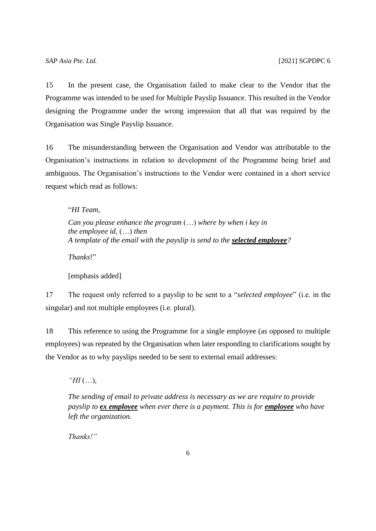15 In the present case, the Organisation failed to make clear to the Vendor that the Programme was intended to be used for Multiple Payslip Issuance. This resulted in the Vendor designing the Programme under the wrong impression that all that was required by the Organisation was Single Payslip Issuance.

16 The misunderstanding between the Organisation and Vendor was attributable to the Organisation's instructions in relation to development of the Programme being brief and ambiguous. The Organisation's instructions to the Vendor were contained in a short service request which read as follows:

"*HI Team,*

*Can you please enhance the program* (…) *where by when i key in the employee id,* (…) *then A template of the email with the payslip is send to the selected employee?*

*Thanks*!"

[emphasis added]

17 The request only referred to a payslip to be sent to a "*selected employee*" (i.e. in the singular) and not multiple employees (i.e. plural).

18 This reference to using the Programme for a single employee (as opposed to multiple employees) was repeated by the Organisation when later responding to clarifications sought by the Vendor as to why payslips needed to be sent to external email addresses:

*"HI* (…)*,*

*The sending of email to private address is necessary as we are require to provide payslip to ex employee when ever there is a payment. This is for <i>employee* who have *left the organization.*

*Thanks!"*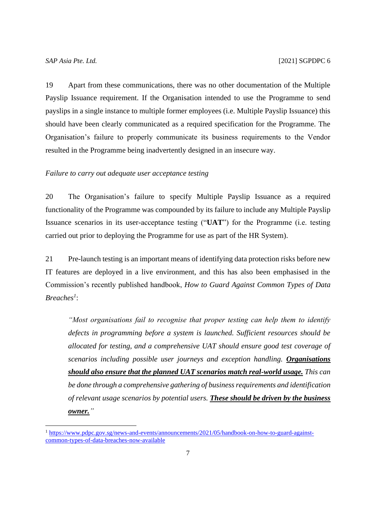19 Apart from these communications, there was no other documentation of the Multiple Payslip Issuance requirement. If the Organisation intended to use the Programme to send payslips in a single instance to multiple former employees (i.e. Multiple Payslip Issuance) this should have been clearly communicated as a required specification for the Programme. The Organisation's failure to properly communicate its business requirements to the Vendor resulted in the Programme being inadvertently designed in an insecure way.

#### *Failure to carry out adequate user acceptance testing*

20 The Organisation's failure to specify Multiple Payslip Issuance as a required functionality of the Programme was compounded by its failure to include any Multiple Payslip Issuance scenarios in its user-acceptance testing ("**UAT**") for the Programme (i.e. testing carried out prior to deploying the Programme for use as part of the HR System).

21 Pre-launch testing is an important means of identifying data protection risks before new IT features are deployed in a live environment, and this has also been emphasised in the Commission's recently published handbook, *How to Guard Against Common Types of Data Breaches<sup>1</sup>* :

*"Most organisations fail to recognise that proper testing can help them to identify defects in programming before a system is launched. Sufficient resources should be allocated for testing, and a comprehensive UAT should ensure good test coverage of scenarios including possible user journeys and exception handling. Organisations should also ensure that the planned UAT scenarios match real-world usage. This can be done through a comprehensive gathering of business requirements and identification of relevant usage scenarios by potential users. These should be driven by the business owner."*

<sup>&</sup>lt;sup>1</sup> [https://www.pdpc.gov.sg/news-and-events/announcements/2021/05/handbook-on-how-to-guard-against](https://www.pdpc.gov.sg/news-and-events/announcements/2021/05/handbook-on-how-to-guard-against-common-types-of-data-breaches-now-available)[common-types-of-data-breaches-now-available](https://www.pdpc.gov.sg/news-and-events/announcements/2021/05/handbook-on-how-to-guard-against-common-types-of-data-breaches-now-available)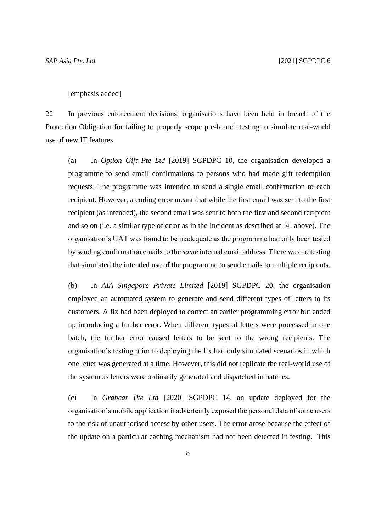#### [emphasis added]

22 In previous enforcement decisions, organisations have been held in breach of the Protection Obligation for failing to properly scope pre-launch testing to simulate real-world use of new IT features:

(a) In *Option Gift Pte Ltd* [2019] SGPDPC 10, the organisation developed a programme to send email confirmations to persons who had made gift redemption requests. The programme was intended to send a single email confirmation to each recipient. However, a coding error meant that while the first email was sent to the first recipient (as intended), the second email was sent to both the first and second recipient and so on (i.e. a similar type of error as in the Incident as described at [4] above). The organisation's UAT was found to be inadequate as the programme had only been tested by sending confirmation emails to the *same* internal email address. There was no testing that simulated the intended use of the programme to send emails to multiple recipients.

(b) In *AIA Singapore Private Limited* [2019] SGPDPC 20, the organisation employed an automated system to generate and send different types of letters to its customers. A fix had been deployed to correct an earlier programming error but ended up introducing a further error. When different types of letters were processed in one batch, the further error caused letters to be sent to the wrong recipients. The organisation's testing prior to deploying the fix had only simulated scenarios in which one letter was generated at a time. However, this did not replicate the real-world use of the system as letters were ordinarily generated and dispatched in batches.

(c) In *Grabcar Pte Ltd* [2020] SGPDPC 14, an update deployed for the organisation's mobile application inadvertently exposed the personal data of some users to the risk of unauthorised access by other users. The error arose because the effect of the update on a particular caching mechanism had not been detected in testing. This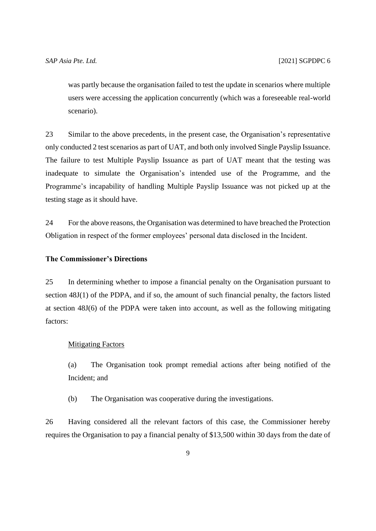was partly because the organisation failed to test the update in scenarios where multiple users were accessing the application concurrently (which was a foreseeable real-world scenario).

23 Similar to the above precedents, in the present case, the Organisation's representative only conducted 2 test scenarios as part of UAT, and both only involved Single Payslip Issuance. The failure to test Multiple Payslip Issuance as part of UAT meant that the testing was inadequate to simulate the Organisation's intended use of the Programme, and the Programme's incapability of handling Multiple Payslip Issuance was not picked up at the testing stage as it should have.

24 For the above reasons, the Organisation was determined to have breached the Protection Obligation in respect of the former employees' personal data disclosed in the Incident.

#### **The Commissioner's Directions**

25 In determining whether to impose a financial penalty on the Organisation pursuant to section 48J(1) of the PDPA, and if so, the amount of such financial penalty, the factors listed at section 48J(6) of the PDPA were taken into account, as well as the following mitigating factors:

#### Mitigating Factors

(a) The Organisation took prompt remedial actions after being notified of the Incident; and

(b) The Organisation was cooperative during the investigations.

26 Having considered all the relevant factors of this case, the Commissioner hereby requires the Organisation to pay a financial penalty of \$13,500 within 30 days from the date of